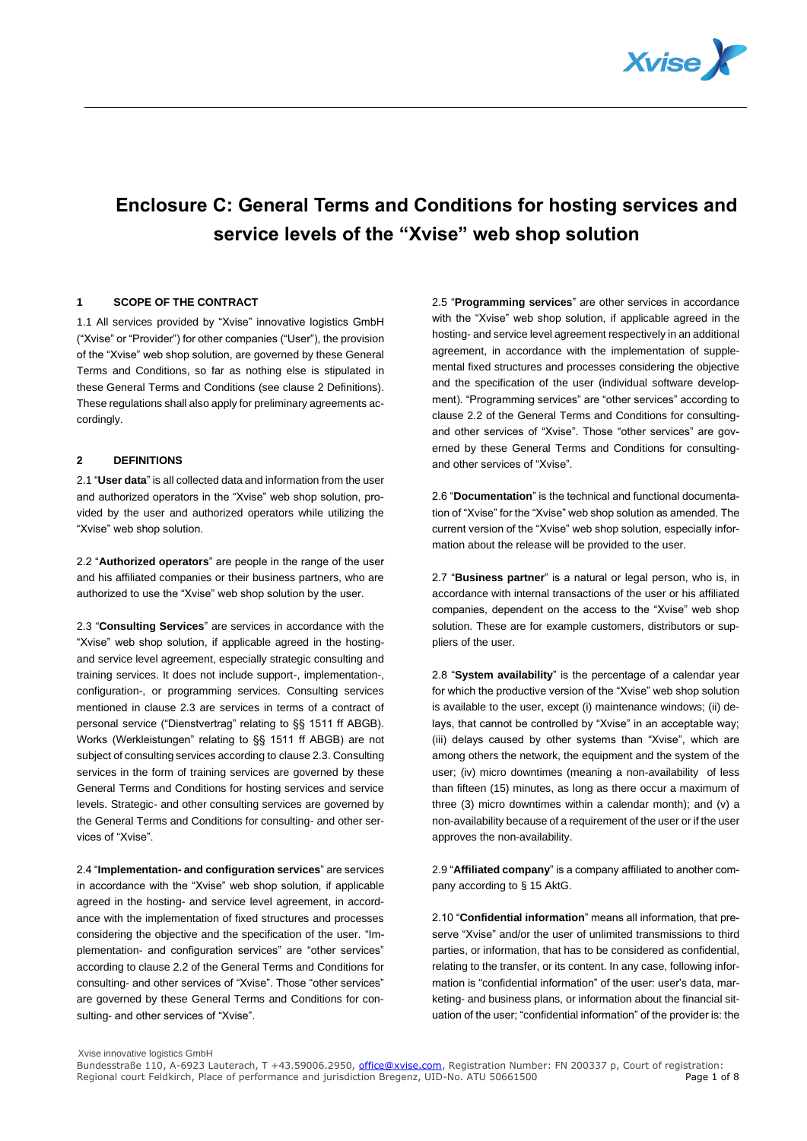

# **Enclosure C: General Terms and Conditions for hosting services and service levels of the "Xvise" web shop solution**

## **1 SCOPE OF THE CONTRACT**

1.1 All services provided by "Xvise" innovative logistics GmbH ("Xvise" or "Provider") for other companies ("User"), the provision of the "Xvise" web shop solution, are governed by these General Terms and Conditions, so far as nothing else is stipulated in these General Terms and Conditions (see clause 2 Definitions). These regulations shall also apply for preliminary agreements accordingly.

## **2 DEFINITIONS**

2.1 "**User data**" is all collected data and information from the user and authorized operators in the "Xvise" web shop solution, provided by the user and authorized operators while utilizing the "Xvise" web shop solution.

2.2 "**Authorized operators**" are people in the range of the user and his affiliated companies or their business partners, who are authorized to use the "Xvise" web shop solution by the user.

2.3 "**Consulting Services**" are services in accordance with the "Xvise" web shop solution, if applicable agreed in the hostingand service level agreement, especially strategic consulting and training services. It does not include support-, implementation-, configuration-, or programming services. Consulting services mentioned in clause 2.3 are services in terms of a contract of personal service ("Dienstvertrag" relating to §§ 1511 ff ABGB). Works (Werkleistungen" relating to §§ 1511 ff ABGB) are not subject of consulting services according to clause 2.3. Consulting services in the form of training services are governed by these General Terms and Conditions for hosting services and service levels. Strategic- and other consulting services are governed by the General Terms and Conditions for consulting- and other services of "Xvise".

2.4 "**Implementation- and configuration services**" are services in accordance with the "Xvise" web shop solution, if applicable agreed in the hosting- and service level agreement, in accordance with the implementation of fixed structures and processes considering the objective and the specification of the user. "Implementation- and configuration services" are "other services" according to clause 2.2 of the General Terms and Conditions for consulting- and other services of "Xvise". Those "other services" are governed by these General Terms and Conditions for consulting- and other services of "Xvise".

2.5 "**Programming services**" are other services in accordance with the "Xvise" web shop solution, if applicable agreed in the hosting- and service level agreement respectively in an additional agreement, in accordance with the implementation of supplemental fixed structures and processes considering the objective and the specification of the user (individual software development). "Programming services" are "other services" according to clause 2.2 of the General Terms and Conditions for consultingand other services of "Xvise". Those "other services" are governed by these General Terms and Conditions for consultingand other services of "Xvise".

2.6 "**Documentation**" is the technical and functional documentation of "Xvise" for the "Xvise" web shop solution as amended. The current version of the "Xvise" web shop solution, especially information about the release will be provided to the user.

2.7 "**Business partner**" is a natural or legal person, who is, in accordance with internal transactions of the user or his affiliated companies, dependent on the access to the "Xvise" web shop solution. These are for example customers, distributors or suppliers of the user.

2.8 "**System availability**" is the percentage of a calendar year for which the productive version of the "Xvise" web shop solution is available to the user, except (i) maintenance windows; (ii) delays, that cannot be controlled by "Xvise" in an acceptable way; (iii) delays caused by other systems than "Xvise", which are among others the network, the equipment and the system of the user; (iv) micro downtimes (meaning a non-availability of less than fifteen (15) minutes, as long as there occur a maximum of three (3) micro downtimes within a calendar month); and (v) a non-availability because of a requirement of the user or if the user approves the non-availability.

2.9 "**Affiliated company**" is a company affiliated to another company according to § 15 AktG.

2.10 "**Confidential information**" means all information, that preserve "Xvise" and/or the user of unlimited transmissions to third parties, or information, that has to be considered as confidential, relating to the transfer, or its content. In any case, following information is "confidential information" of the user: user's data, marketing- and business plans, or information about the financial situation of the user; "confidential information" of the provider is: the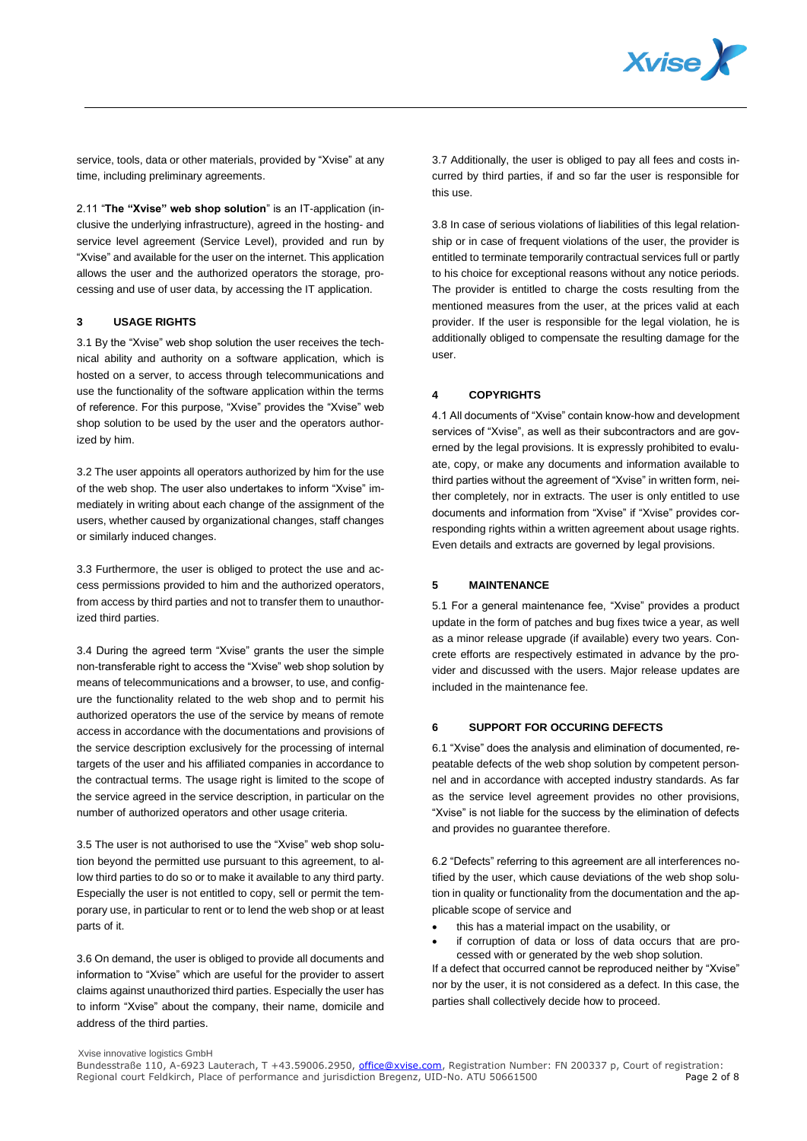

service, tools, data or other materials, provided by "Xvise" at any time, including preliminary agreements.

2.11 "**The "Xvise" web shop solution**" is an IT-application (inclusive the underlying infrastructure), agreed in the hosting- and service level agreement (Service Level), provided and run by "Xvise" and available for the user on the internet. This application allows the user and the authorized operators the storage, processing and use of user data, by accessing the IT application.

## **3 USAGE RIGHTS**

3.1 By the "Xvise" web shop solution the user receives the technical ability and authority on a software application, which is hosted on a server, to access through telecommunications and use the functionality of the software application within the terms of reference. For this purpose, "Xvise" provides the "Xvise" web shop solution to be used by the user and the operators authorized by him.

3.2 The user appoints all operators authorized by him for the use of the web shop. The user also undertakes to inform "Xvise" immediately in writing about each change of the assignment of the users, whether caused by organizational changes, staff changes or similarly induced changes.

3.3 Furthermore, the user is obliged to protect the use and access permissions provided to him and the authorized operators, from access by third parties and not to transfer them to unauthorized third parties.

3.4 During the agreed term "Xvise" grants the user the simple non-transferable right to access the "Xvise" web shop solution by means of telecommunications and a browser, to use, and configure the functionality related to the web shop and to permit his authorized operators the use of the service by means of remote access in accordance with the documentations and provisions of the service description exclusively for the processing of internal targets of the user and his affiliated companies in accordance to the contractual terms. The usage right is limited to the scope of the service agreed in the service description, in particular on the number of authorized operators and other usage criteria.

3.5 The user is not authorised to use the "Xvise" web shop solution beyond the permitted use pursuant to this agreement, to allow third parties to do so or to make it available to any third party. Especially the user is not entitled to copy, sell or permit the temporary use, in particular to rent or to lend the web shop or at least parts of it.

3.6 On demand, the user is obliged to provide all documents and information to "Xvise" which are useful for the provider to assert claims against unauthorized third parties. Especially the user has to inform "Xvise" about the company, their name, domicile and address of the third parties.

3.7 Additionally, the user is obliged to pay all fees and costs incurred by third parties, if and so far the user is responsible for this use.

3.8 In case of serious violations of liabilities of this legal relationship or in case of frequent violations of the user, the provider is entitled to terminate temporarily contractual services full or partly to his choice for exceptional reasons without any notice periods. The provider is entitled to charge the costs resulting from the mentioned measures from the user, at the prices valid at each provider. If the user is responsible for the legal violation, he is additionally obliged to compensate the resulting damage for the user.

# **4 COPYRIGHTS**

4.1 All documents of "Xvise" contain know-how and development services of "Xvise", as well as their subcontractors and are governed by the legal provisions. It is expressly prohibited to evaluate, copy, or make any documents and information available to third parties without the agreement of "Xvise" in written form, neither completely, nor in extracts. The user is only entitled to use documents and information from "Xvise" if "Xvise" provides corresponding rights within a written agreement about usage rights. Even details and extracts are governed by legal provisions.

# **5 MAINTENANCE**

5.1 For a general maintenance fee, "Xvise" provides a product update in the form of patches and bug fixes twice a year, as well as a minor release upgrade (if available) every two years. Concrete efforts are respectively estimated in advance by the provider and discussed with the users. Major release updates are included in the maintenance fee.

# **6 SUPPORT FOR OCCURING DEFECTS**

6.1 "Xvise" does the analysis and elimination of documented, repeatable defects of the web shop solution by competent personnel and in accordance with accepted industry standards. As far as the service level agreement provides no other provisions, "Xvise" is not liable for the success by the elimination of defects and provides no guarantee therefore.

6.2 "Defects" referring to this agreement are all interferences notified by the user, which cause deviations of the web shop solution in quality or functionality from the documentation and the applicable scope of service and

- this has a material impact on the usability, or
- if corruption of data or loss of data occurs that are processed with or generated by the web shop solution.

If a defect that occurred cannot be reproduced neither by "Xvise" nor by the user, it is not considered as a defect. In this case, the parties shall collectively decide how to proceed.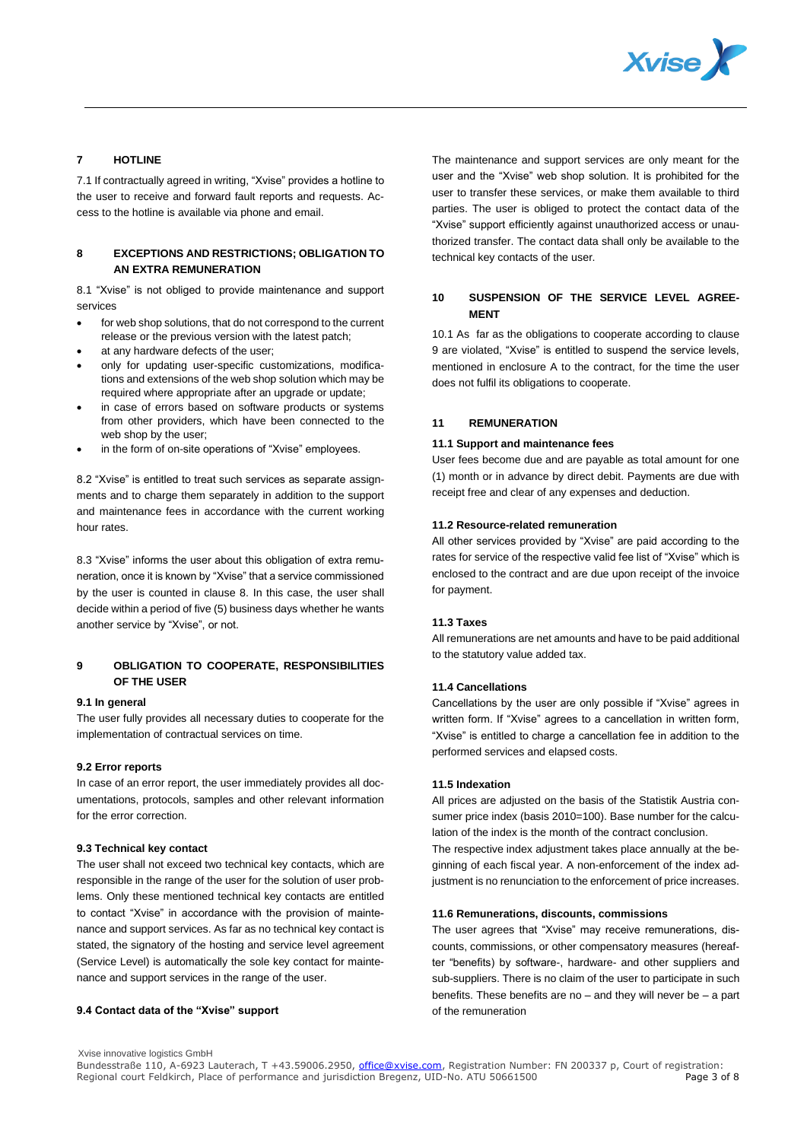

# **7 HOTLINE**

7.1 If contractually agreed in writing, "Xvise" provides a hotline to the user to receive and forward fault reports and requests. Access to the hotline is available via phone and email.

# **8 EXCEPTIONS AND RESTRICTIONS; OBLIGATION TO AN EXTRA REMUNERATION**

8.1 "Xvise" is not obliged to provide maintenance and support services

- for web shop solutions, that do not correspond to the current release or the previous version with the latest patch;
- at any hardware defects of the user:
- only for updating user-specific customizations, modifications and extensions of the web shop solution which may be required where appropriate after an upgrade or update;
- in case of errors based on software products or systems from other providers, which have been connected to the web shop by the user;
- in the form of on-site operations of "Xvise" employees.

8.2 "Xvise" is entitled to treat such services as separate assignments and to charge them separately in addition to the support and maintenance fees in accordance with the current working hour rates.

8.3 "Xvise" informs the user about this obligation of extra remuneration, once it is known by "Xvise" that a service commissioned by the user is counted in clause 8. In this case, the user shall decide within a period of five (5) business days whether he wants another service by "Xvise", or not.

# **9 OBLIGATION TO COOPERATE, RESPONSIBILITIES OF THE USER**

#### **9.1 In general**

The user fully provides all necessary duties to cooperate for the implementation of contractual services on time.

#### **9.2 Error reports**

In case of an error report, the user immediately provides all documentations, protocols, samples and other relevant information for the error correction.

#### **9.3 Technical key contact**

The user shall not exceed two technical key contacts, which are responsible in the range of the user for the solution of user problems. Only these mentioned technical key contacts are entitled to contact "Xvise" in accordance with the provision of maintenance and support services. As far as no technical key contact is stated, the signatory of the hosting and service level agreement (Service Level) is automatically the sole key contact for maintenance and support services in the range of the user.

#### **9.4 Contact data of the "Xvise" support**

The maintenance and support services are only meant for the user and the "Xvise" web shop solution. It is prohibited for the user to transfer these services, or make them available to third parties. The user is obliged to protect the contact data of the "Xvise" support efficiently against unauthorized access or unauthorized transfer. The contact data shall only be available to the technical key contacts of the user.

# **10 SUSPENSION OF THE SERVICE LEVEL AGREE-MENT**

10.1 As far as the obligations to cooperate according to clause 9 are violated, "Xvise" is entitled to suspend the service levels, mentioned in enclosure A to the contract, for the time the user does not fulfil its obligations to cooperate.

# **11 REMUNERATION**

#### **11.1 Support and maintenance fees**

User fees become due and are payable as total amount for one (1) month or in advance by direct debit. Payments are due with receipt free and clear of any expenses and deduction.

# **11.2 Resource-related remuneration**

All other services provided by "Xvise" are paid according to the rates for service of the respective valid fee list of "Xvise" which is enclosed to the contract and are due upon receipt of the invoice for payment.

#### **11.3 Taxes**

All remunerations are net amounts and have to be paid additional to the statutory value added tax.

# **11.4 Cancellations**

Cancellations by the user are only possible if "Xvise" agrees in written form. If "Xvise" agrees to a cancellation in written form, "Xvise" is entitled to charge a cancellation fee in addition to the performed services and elapsed costs.

#### **11.5 Indexation**

All prices are adjusted on the basis of the Statistik Austria consumer price index (basis 2010=100). Base number for the calculation of the index is the month of the contract conclusion.

The respective index adjustment takes place annually at the beginning of each fiscal year. A non-enforcement of the index adjustment is no renunciation to the enforcement of price increases.

## **11.6 Remunerations, discounts, commissions**

The user agrees that "Xvise" may receive remunerations, discounts, commissions, or other compensatory measures (hereafter "benefits) by software-, hardware- and other suppliers and sub-suppliers. There is no claim of the user to participate in such benefits. These benefits are no  $-$  and they will never be  $-$  a part of the remuneration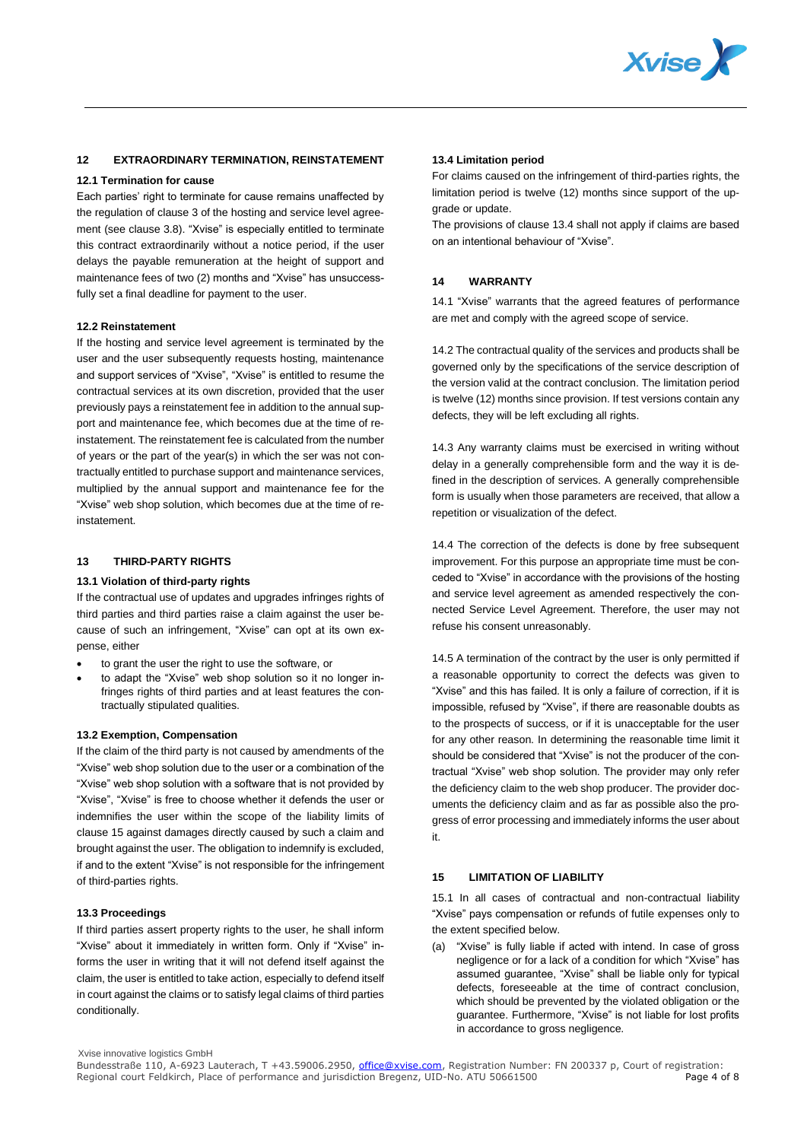

# **12 EXTRAORDINARY TERMINATION, REINSTATEMENT**

#### **12.1 Termination for cause**

Each parties' right to terminate for cause remains unaffected by the regulation of clause 3 of the hosting and service level agreement (see clause 3.8). "Xvise" is especially entitled to terminate this contract extraordinarily without a notice period, if the user delays the payable remuneration at the height of support and maintenance fees of two (2) months and "Xvise" has unsuccessfully set a final deadline for payment to the user.

#### **12.2 Reinstatement**

If the hosting and service level agreement is terminated by the user and the user subsequently requests hosting, maintenance and support services of "Xvise", "Xvise" is entitled to resume the contractual services at its own discretion, provided that the user previously pays a reinstatement fee in addition to the annual support and maintenance fee, which becomes due at the time of reinstatement. The reinstatement fee is calculated from the number of years or the part of the year(s) in which the ser was not contractually entitled to purchase support and maintenance services, multiplied by the annual support and maintenance fee for the "Xvise" web shop solution, which becomes due at the time of reinstatement.

# **13 THIRD-PARTY RIGHTS**

#### **13.1 Violation of third-party rights**

If the contractual use of updates and upgrades infringes rights of third parties and third parties raise a claim against the user because of such an infringement, "Xvise" can opt at its own expense, either

- to grant the user the right to use the software, or
- to adapt the "Xvise" web shop solution so it no longer infringes rights of third parties and at least features the contractually stipulated qualities.

## **13.2 Exemption, Compensation**

If the claim of the third party is not caused by amendments of the "Xvise" web shop solution due to the user or a combination of the "Xvise" web shop solution with a software that is not provided by "Xvise", "Xvise" is free to choose whether it defends the user or indemnifies the user within the scope of the liability limits of clause 15 against damages directly caused by such a claim and brought against the user. The obligation to indemnify is excluded, if and to the extent "Xvise" is not responsible for the infringement of third-parties rights.

## **13.3 Proceedings**

If third parties assert property rights to the user, he shall inform "Xvise" about it immediately in written form. Only if "Xvise" informs the user in writing that it will not defend itself against the claim, the user is entitled to take action, especially to defend itself in court against the claims or to satisfy legal claims of third parties conditionally.

## **13.4 Limitation period**

For claims caused on the infringement of third-parties rights, the limitation period is twelve (12) months since support of the upgrade or update.

The provisions of clause 13.4 shall not apply if claims are based on an intentional behaviour of "Xvise".

## **14 WARRANTY**

14.1 "Xvise" warrants that the agreed features of performance are met and comply with the agreed scope of service.

14.2 The contractual quality of the services and products shall be governed only by the specifications of the service description of the version valid at the contract conclusion. The limitation period is twelve (12) months since provision. If test versions contain any defects, they will be left excluding all rights.

14.3 Any warranty claims must be exercised in writing without delay in a generally comprehensible form and the way it is defined in the description of services. A generally comprehensible form is usually when those parameters are received, that allow a repetition or visualization of the defect.

14.4 The correction of the defects is done by free subsequent improvement. For this purpose an appropriate time must be conceded to "Xvise" in accordance with the provisions of the hosting and service level agreement as amended respectively the connected Service Level Agreement. Therefore, the user may not refuse his consent unreasonably.

14.5 A termination of the contract by the user is only permitted if a reasonable opportunity to correct the defects was given to "Xvise" and this has failed. It is only a failure of correction, if it is impossible, refused by "Xvise", if there are reasonable doubts as to the prospects of success, or if it is unacceptable for the user for any other reason. In determining the reasonable time limit it should be considered that "Xvise" is not the producer of the contractual "Xvise" web shop solution. The provider may only refer the deficiency claim to the web shop producer. The provider documents the deficiency claim and as far as possible also the progress of error processing and immediately informs the user about it.

# **15 LIMITATION OF LIABILITY**

15.1 In all cases of contractual and non-contractual liability "Xvise" pays compensation or refunds of futile expenses only to the extent specified below.

(a) "Xvise" is fully liable if acted with intend. In case of gross negligence or for a lack of a condition for which "Xvise" has assumed guarantee, "Xvise" shall be liable only for typical defects, foreseeable at the time of contract conclusion, which should be prevented by the violated obligation or the guarantee. Furthermore, "Xvise" is not liable for lost profits in accordance to gross negligence.

Xvise innovative logistics GmbH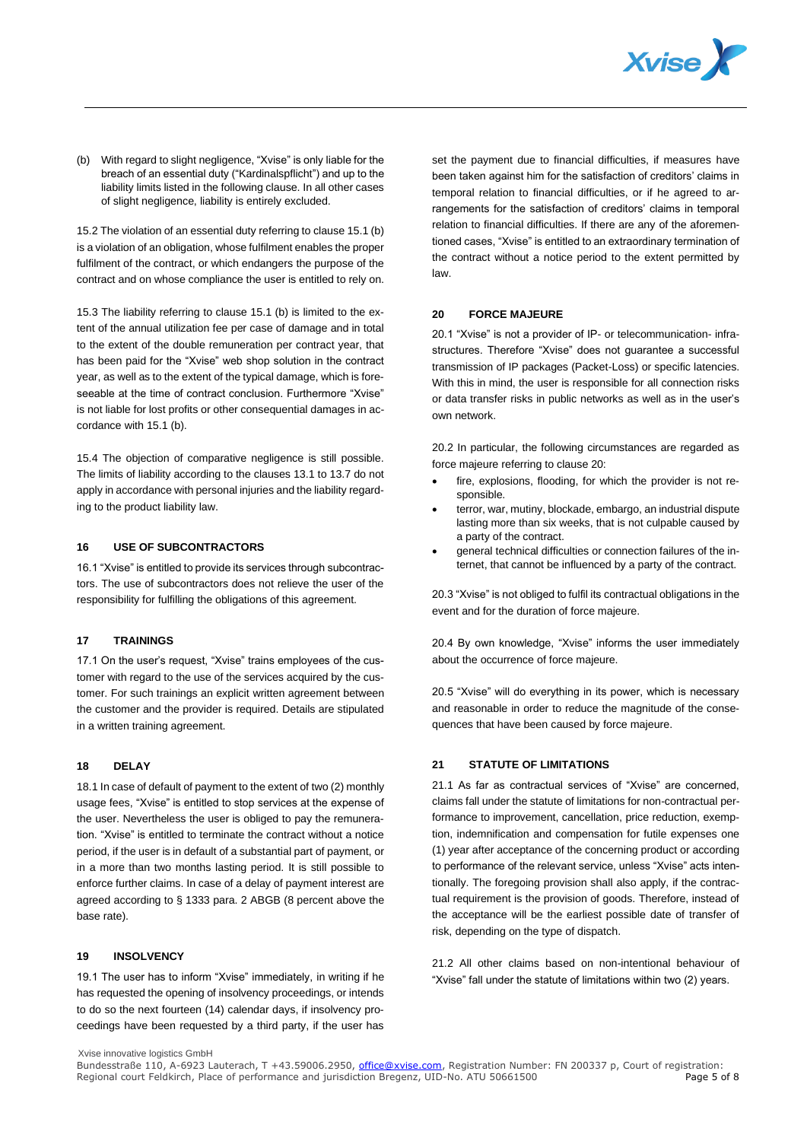

(b) With regard to slight negligence, "Xvise" is only liable for the breach of an essential duty ("Kardinalspflicht") and up to the liability limits listed in the following clause. In all other cases of slight negligence, liability is entirely excluded.

15.2 The violation of an essential duty referring to clause 15.1 (b) is a violation of an obligation, whose fulfilment enables the proper fulfilment of the contract, or which endangers the purpose of the contract and on whose compliance the user is entitled to rely on.

15.3 The liability referring to clause 15.1 (b) is limited to the extent of the annual utilization fee per case of damage and in total to the extent of the double remuneration per contract year, that has been paid for the "Xvise" web shop solution in the contract year, as well as to the extent of the typical damage, which is foreseeable at the time of contract conclusion. Furthermore "Xvise" is not liable for lost profits or other consequential damages in accordance with 15.1 (b).

15.4 The objection of comparative negligence is still possible. The limits of liability according to the clauses 13.1 to 13.7 do not apply in accordance with personal injuries and the liability regarding to the product liability law.

## **16 USE OF SUBCONTRACTORS**

16.1 "Xvise" is entitled to provide its services through subcontractors. The use of subcontractors does not relieve the user of the responsibility for fulfilling the obligations of this agreement.

## **17 TRAININGS**

17.1 On the user's request, "Xvise" trains employees of the customer with regard to the use of the services acquired by the customer. For such trainings an explicit written agreement between the customer and the provider is required. Details are stipulated in a written training agreement.

## **18 DELAY**

18.1 In case of default of payment to the extent of two (2) monthly usage fees, "Xvise" is entitled to stop services at the expense of the user. Nevertheless the user is obliged to pay the remuneration. "Xvise" is entitled to terminate the contract without a notice period, if the user is in default of a substantial part of payment, or in a more than two months lasting period. It is still possible to enforce further claims. In case of a delay of payment interest are agreed according to § 1333 para. 2 ABGB (8 percent above the base rate).

# **19 INSOLVENCY**

19.1 The user has to inform "Xvise" immediately, in writing if he has requested the opening of insolvency proceedings, or intends to do so the next fourteen (14) calendar days, if insolvency proceedings have been requested by a third party, if the user has

set the payment due to financial difficulties, if measures have been taken against him for the satisfaction of creditors' claims in temporal relation to financial difficulties, or if he agreed to arrangements for the satisfaction of creditors' claims in temporal relation to financial difficulties. If there are any of the aforementioned cases, "Xvise" is entitled to an extraordinary termination of the contract without a notice period to the extent permitted by law.

#### **20 FORCE MAJEURE**

20.1 "Xvise" is not a provider of IP- or telecommunication- infrastructures. Therefore "Xvise" does not guarantee a successful transmission of IP packages (Packet-Loss) or specific latencies. With this in mind, the user is responsible for all connection risks or data transfer risks in public networks as well as in the user's own network.

20.2 In particular, the following circumstances are regarded as force majeure referring to clause 20:

- fire, explosions, flooding, for which the provider is not responsible.
- terror, war, mutiny, blockade, embargo, an industrial dispute lasting more than six weeks, that is not culpable caused by a party of the contract.
- general technical difficulties or connection failures of the internet, that cannot be influenced by a party of the contract.

20.3 "Xvise" is not obliged to fulfil its contractual obligations in the event and for the duration of force majeure.

20.4 By own knowledge, "Xvise" informs the user immediately about the occurrence of force majeure.

20.5 "Xvise" will do everything in its power, which is necessary and reasonable in order to reduce the magnitude of the consequences that have been caused by force majeure.

# **21 STATUTE OF LIMITATIONS**

21.1 As far as contractual services of "Xvise" are concerned, claims fall under the statute of limitations for non-contractual performance to improvement, cancellation, price reduction, exemption, indemnification and compensation for futile expenses one (1) year after acceptance of the concerning product or according to performance of the relevant service, unless "Xvise" acts intentionally. The foregoing provision shall also apply, if the contractual requirement is the provision of goods. Therefore, instead of the acceptance will be the earliest possible date of transfer of risk, depending on the type of dispatch.

21.2 All other claims based on non-intentional behaviour of "Xvise" fall under the statute of limitations within two (2) years.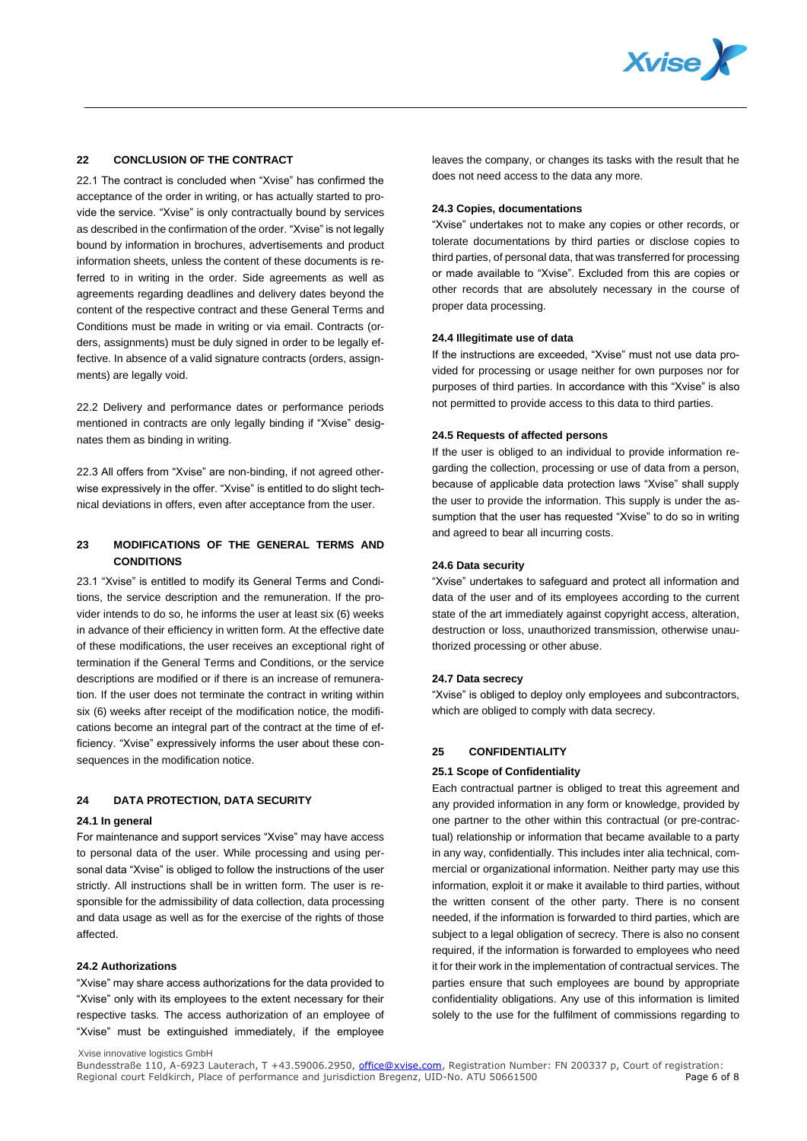

# **22 CONCLUSION OF THE CONTRACT**

22.1 The contract is concluded when "Xvise" has confirmed the acceptance of the order in writing, or has actually started to provide the service. "Xvise" is only contractually bound by services as described in the confirmation of the order. "Xvise" is not legally bound by information in brochures, advertisements and product information sheets, unless the content of these documents is referred to in writing in the order. Side agreements as well as agreements regarding deadlines and delivery dates beyond the content of the respective contract and these General Terms and Conditions must be made in writing or via email. Contracts (orders, assignments) must be duly signed in order to be legally effective. In absence of a valid signature contracts (orders, assignments) are legally void.

22.2 Delivery and performance dates or performance periods mentioned in contracts are only legally binding if "Xvise" designates them as binding in writing.

22.3 All offers from "Xvise" are non-binding, if not agreed otherwise expressively in the offer. "Xvise" is entitled to do slight technical deviations in offers, even after acceptance from the user.

# **23 MODIFICATIONS OF THE GENERAL TERMS AND CONDITIONS**

23.1 "Xvise" is entitled to modify its General Terms and Conditions, the service description and the remuneration. If the provider intends to do so, he informs the user at least six (6) weeks in advance of their efficiency in written form. At the effective date of these modifications, the user receives an exceptional right of termination if the General Terms and Conditions, or the service descriptions are modified or if there is an increase of remuneration. If the user does not terminate the contract in writing within six (6) weeks after receipt of the modification notice, the modifications become an integral part of the contract at the time of efficiency. "Xvise" expressively informs the user about these consequences in the modification notice.

## **24 DATA PROTECTION, DATA SECURITY**

## **24.1 In general**

For maintenance and support services "Xvise" may have access to personal data of the user. While processing and using personal data "Xvise" is obliged to follow the instructions of the user strictly. All instructions shall be in written form. The user is responsible for the admissibility of data collection, data processing and data usage as well as for the exercise of the rights of those affected.

#### **24.2 Authorizations**

"Xvise" may share access authorizations for the data provided to "Xvise" only with its employees to the extent necessary for their respective tasks. The access authorization of an employee of "Xvise" must be extinguished immediately, if the employee

leaves the company, or changes its tasks with the result that he does not need access to the data any more.

#### **24.3 Copies, documentations**

"Xvise" undertakes not to make any copies or other records, or tolerate documentations by third parties or disclose copies to third parties, of personal data, that was transferred for processing or made available to "Xvise". Excluded from this are copies or other records that are absolutely necessary in the course of proper data processing.

#### **24.4 Illegitimate use of data**

If the instructions are exceeded, "Xvise" must not use data provided for processing or usage neither for own purposes nor for purposes of third parties. In accordance with this "Xvise" is also not permitted to provide access to this data to third parties.

#### **24.5 Requests of affected persons**

If the user is obliged to an individual to provide information regarding the collection, processing or use of data from a person, because of applicable data protection laws "Xvise" shall supply the user to provide the information. This supply is under the assumption that the user has requested "Xvise" to do so in writing and agreed to bear all incurring costs.

#### **24.6 Data security**

"Xvise" undertakes to safeguard and protect all information and data of the user and of its employees according to the current state of the art immediately against copyright access, alteration, destruction or loss, unauthorized transmission, otherwise unauthorized processing or other abuse.

#### **24.7 Data secrecy**

"Xvise" is obliged to deploy only employees and subcontractors, which are obliged to comply with data secrecy.

# **25 CONFIDENTIALITY**

#### **25.1 Scope of Confidentiality**

Each contractual partner is obliged to treat this agreement and any provided information in any form or knowledge, provided by one partner to the other within this contractual (or pre-contractual) relationship or information that became available to a party in any way, confidentially. This includes inter alia technical, commercial or organizational information. Neither party may use this information, exploit it or make it available to third parties, without the written consent of the other party. There is no consent needed, if the information is forwarded to third parties, which are subject to a legal obligation of secrecy. There is also no consent required, if the information is forwarded to employees who need it for their work in the implementation of contractual services. The parties ensure that such employees are bound by appropriate confidentiality obligations. Any use of this information is limited solely to the use for the fulfilment of commissions regarding to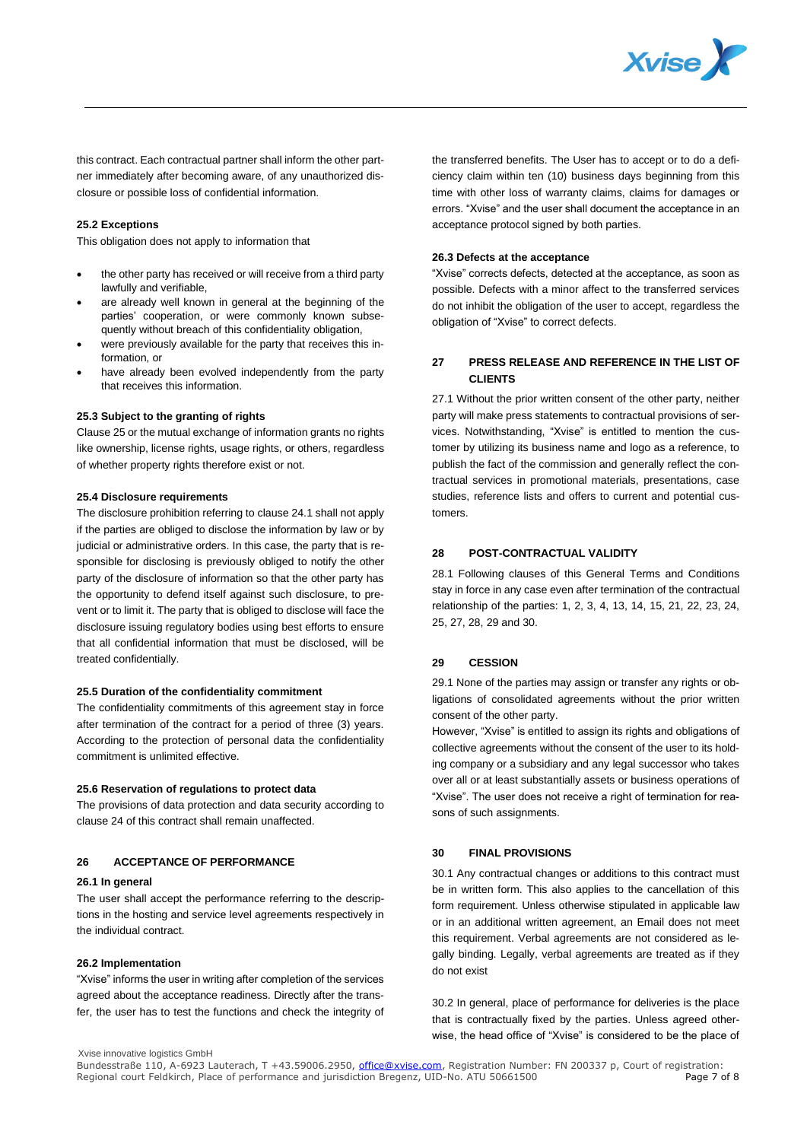

this contract. Each contractual partner shall inform the other partner immediately after becoming aware, of any unauthorized disclosure or possible loss of confidential information.

#### **25.2 Exceptions**

This obligation does not apply to information that

- the other party has received or will receive from a third party lawfully and verifiable,
- are already well known in general at the beginning of the parties' cooperation, or were commonly known subsequently without breach of this confidentiality obligation,
- were previously available for the party that receives this information, or
- have already been evolved independently from the party that receives this information.

## **25.3 Subject to the granting of rights**

Clause 25 or the mutual exchange of information grants no rights like ownership, license rights, usage rights, or others, regardless of whether property rights therefore exist or not.

#### **25.4 Disclosure requirements**

The disclosure prohibition referring to clause 24.1 shall not apply if the parties are obliged to disclose the information by law or by judicial or administrative orders. In this case, the party that is responsible for disclosing is previously obliged to notify the other party of the disclosure of information so that the other party has the opportunity to defend itself against such disclosure, to prevent or to limit it. The party that is obliged to disclose will face the disclosure issuing regulatory bodies using best efforts to ensure that all confidential information that must be disclosed, will be treated confidentially.

## **25.5 Duration of the confidentiality commitment**

The confidentiality commitments of this agreement stay in force after termination of the contract for a period of three (3) years. According to the protection of personal data the confidentiality commitment is unlimited effective.

#### **25.6 Reservation of regulations to protect data**

The provisions of data protection and data security according to clause 24 of this contract shall remain unaffected.

## **26 ACCEPTANCE OF PERFORMANCE**

#### **26.1 In general**

The user shall accept the performance referring to the descriptions in the hosting and service level agreements respectively in the individual contract.

## **26.2 Implementation**

"Xvise" informs the user in writing after completion of the services agreed about the acceptance readiness. Directly after the transfer, the user has to test the functions and check the integrity of the transferred benefits. The User has to accept or to do a deficiency claim within ten (10) business days beginning from this time with other loss of warranty claims, claims for damages or errors. "Xvise" and the user shall document the acceptance in an acceptance protocol signed by both parties.

## **26.3 Defects at the acceptance**

"Xvise" corrects defects, detected at the acceptance, as soon as possible. Defects with a minor affect to the transferred services do not inhibit the obligation of the user to accept, regardless the obligation of "Xvise" to correct defects.

# **27 PRESS RELEASE AND REFERENCE IN THE LIST OF CLIENTS**

27.1 Without the prior written consent of the other party, neither party will make press statements to contractual provisions of services. Notwithstanding, "Xvise" is entitled to mention the customer by utilizing its business name and logo as a reference, to publish the fact of the commission and generally reflect the contractual services in promotional materials, presentations, case studies, reference lists and offers to current and potential customers.

## **28 POST-CONTRACTUAL VALIDITY**

28.1 Following clauses of this General Terms and Conditions stay in force in any case even after termination of the contractual relationship of the parties: 1, 2, 3, 4, 13, 14, 15, 21, 22, 23, 24, 25, 27, 28, 29 and 30.

# **29 CESSION**

29.1 None of the parties may assign or transfer any rights or obligations of consolidated agreements without the prior written consent of the other party.

However, "Xvise" is entitled to assign its rights and obligations of collective agreements without the consent of the user to its holding company or a subsidiary and any legal successor who takes over all or at least substantially assets or business operations of "Xvise". The user does not receive a right of termination for reasons of such assignments.

## **30 FINAL PROVISIONS**

30.1 Any contractual changes or additions to this contract must be in written form. This also applies to the cancellation of this form requirement. Unless otherwise stipulated in applicable law or in an additional written agreement, an Email does not meet this requirement. Verbal agreements are not considered as legally binding. Legally, verbal agreements are treated as if they do not exist

30.2 In general, place of performance for deliveries is the place that is contractually fixed by the parties. Unless agreed otherwise, the head office of "Xvise" is considered to be the place of